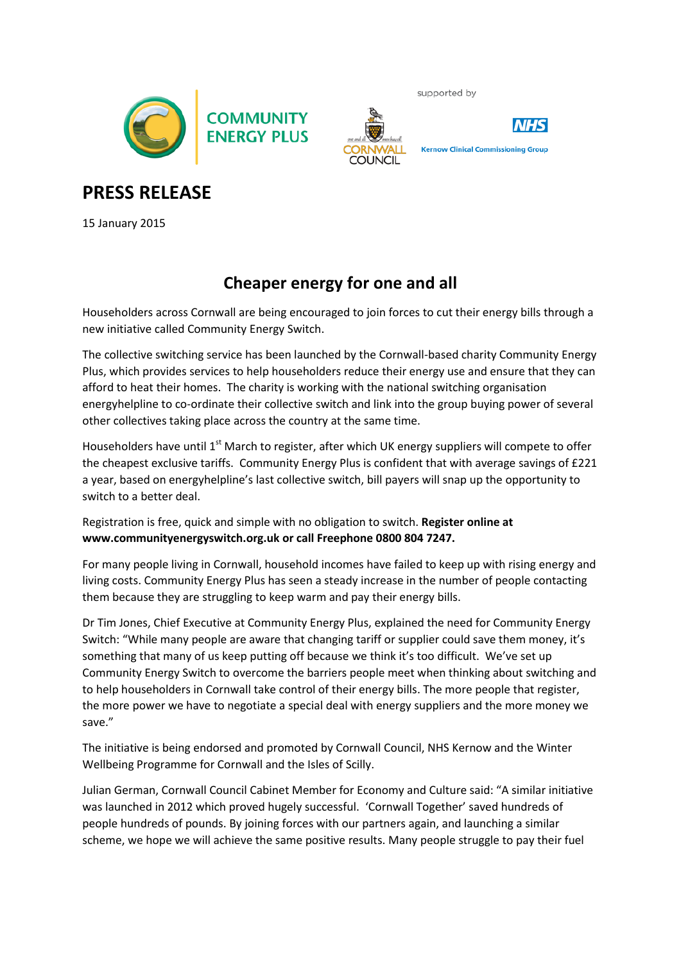



supported by



**Kernow Clinical Commissioning Group** 

**PRESS RELEASE**

15 January 2015

## **Cheaper energy for one and all**

Householders across Cornwall are being encouraged to join forces to cut their energy bills through a new initiative called Community Energy Switch.

The collective switching service has been launched by the Cornwall-based charity Community Energy Plus, which provides services to help householders reduce their energy use and ensure that they can afford to heat their homes. The charity is working with the national switching organisation energyhelpline to co-ordinate their collective switch and link into the group buying power of several other collectives taking place across the country at the same time.

Householders have until 1<sup>st</sup> March to register, after which UK energy suppliers will compete to offer the cheapest exclusive tariffs. Community Energy Plus is confident that with average savings of £221 a year, based on energyhelpline's last collective switch, bill payers will snap up the opportunity to switch to a better deal.

Registration is free, quick and simple with no obligation to switch. **Register online at www.communityenergyswitch.org.uk or call Freephone 0800 804 7247.**

For many people living in Cornwall, household incomes have failed to keep up with rising energy and living costs. Community Energy Plus has seen a steady increase in the number of people contacting them because they are struggling to keep warm and pay their energy bills.

Dr Tim Jones, Chief Executive at Community Energy Plus, explained the need for Community Energy Switch: "While many people are aware that changing tariff or supplier could save them money, it's something that many of us keep putting off because we think it's too difficult. We've set up Community Energy Switch to overcome the barriers people meet when thinking about switching and to help householders in Cornwall take control of their energy bills. The more people that register, the more power we have to negotiate a special deal with energy suppliers and the more money we save."

The initiative is being endorsed and promoted by Cornwall Council, NHS Kernow and the Winter Wellbeing Programme for Cornwall and the Isles of Scilly.

Julian German, Cornwall Council Cabinet Member for Economy and Culture said: "A similar initiative was launched in 2012 which proved hugely successful. 'Cornwall Together' saved hundreds of people hundreds of pounds. By joining forces with our partners again, and launching a similar scheme, we hope we will achieve the same positive results. Many people struggle to pay their fuel